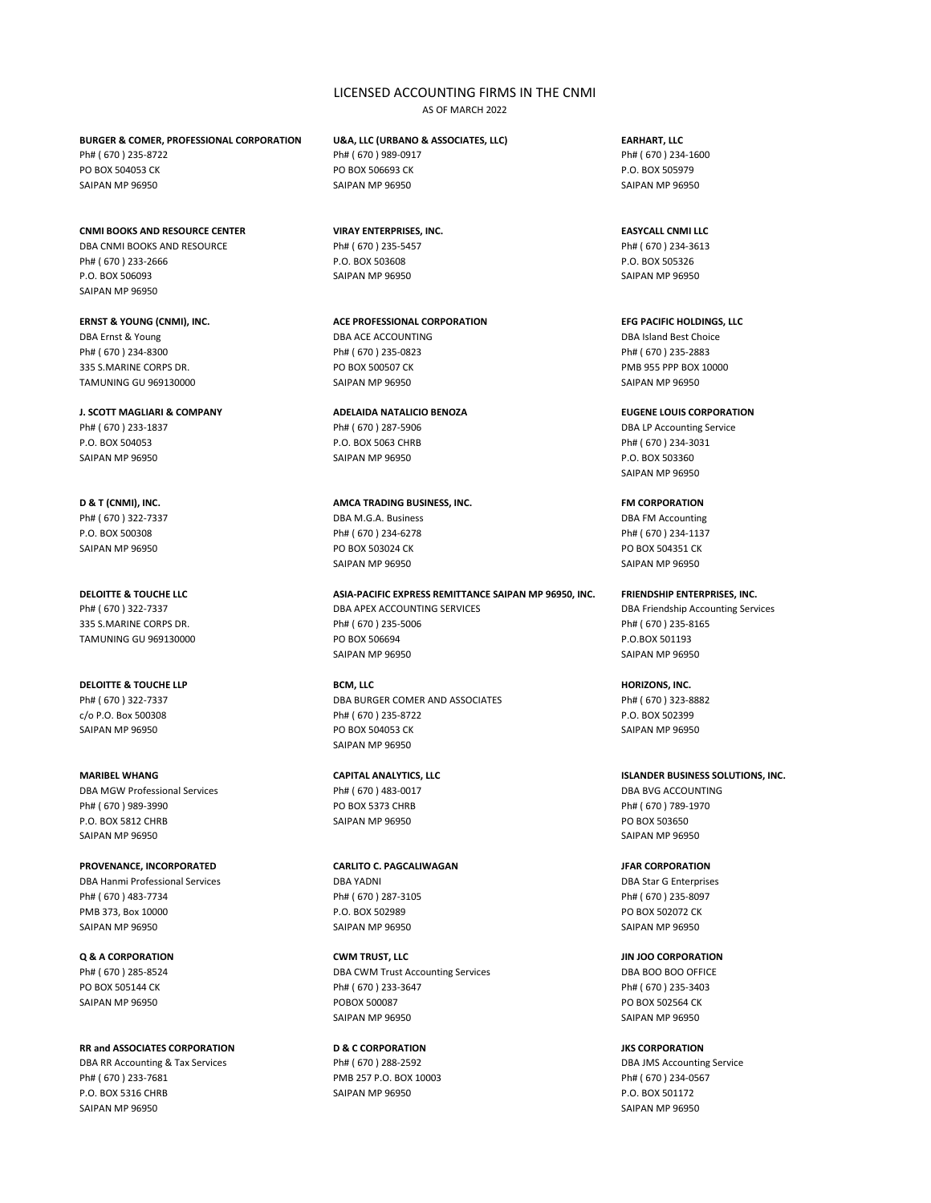# LICENSED ACCOUNTING FIRMS IN THE CNMI

AS OF MARCH 2022

**BURGER & COMER, PROFESSIONAL CORPORATION U&A, LLC (URBANO & ASSOCIATES, LLC) EARHART, LLC** Ph# ( 670 ) 235-8722 Ph# ( 670 ) 989-0917 Ph# ( 670 ) 234-1600

**CNMI BOOKS AND RESOURCE CENTER VIRAY ENTERPRISES, INC. EASYCALL CNMI LLC** DBA CNMI BOOKS AND RESOURCE Ph# ( 670 ) 235-5457 Ph# ( 670 ) 234-3613 Ph# ( 670 ) 233-2666 P.O. BOX 503608 P.O. BOX 505326

SAIPAN MP 96950

DBA Ernst & Young DBA ACE ACCOUNTING DBA Island Best Choice Ph# ( 670 ) 234-8300 Ph# ( 670 ) 235-0823 Ph# ( 670 ) 235-2883 335 S.MARINE CORPS DR. PO BOX 500507 CK PMB 955 PPP BOX 10000 TAMUNING GU 969130000 SAIPAN MP 96950 SAIPAN MP 96950 SAIPAN MP 96950

## **J. SCOTT MAGLIARI & COMPANY ADELAIDA NATALICIO BENOZA EUGENE LOUIS CORPORATION**

Ph# ( 670 ) 233-1837 Ph# ( 670 ) 287-5906 DBA LP Accounting Service P.O. BOX 504053 P.O. BOX 5063 CHRB Ph# ( 670 ) 234-3031 SAIPAN MP 96950 P.O. BOX 503360

**DELOITTE & TOUCHE LLP BCM, LLC HORIZONS, INC.**

DBA MGW Professional Services **Ph# (670) 483-0017** DBA BVG ACCOUNTING Ph# ( 670 ) 989-3990 Ph# ( 670 ) 789-1970 Po BOX 5373 CHRB Ph# ( 670 ) 789-1970 P.O. BOX 5812 CHRB SAIPAN MP 96950 SAIPAN MP 96950 SAIPAN MP 96950 SAIPAN MP 96950

DBA Hanmi Professional Services DBA YADNI DBA Star G Enterprises Ph# ( 670 ) 483-7734 Ph# ( 670 ) 287-3105 Ph# ( 670 ) 235-8097 PMB 373, Box 10000 **P.O. BOX 502989** P.O. BOX 502989 **P.O. BOX 502989** PO BOX 502072 CK SAIPAN MP 96950 SAIPAN MP 96950 SAIPAN MP 96950

## **RR and ASSOCIATES CORPORATION D & C CORPORATION JKS CORPORATION**

DBA RR Accounting & Tax Services **Ph# ( 670 ) 288-2592** DBA IMS Accounting Service Ph# ( 670 ) 233-7681 PMB 257 P.O. BOX 10003 Ph# ( 670 ) 234-0567 P.O. BOX 5316 CHRB SAIPAN MP 96950 P.O. BOX 501172 SAIPAN MP 96950 SAIPAN MP 96950

PO BOX 504053 CK PO BOX 506693 CK P.O. BOX 505979 SAIPAN MP 96950 SAIPAN MP 96950 SAIPAN MP 96950

P.O. BOX 506093 SAIPAN MP 96950 SAIPAN MP 96950

## **ERNST & YOUNG (CNMI), INC. ACE PROFESSIONAL CORPORATION EFG PACIFIC HOLDINGS, LLC**

## **D & T (CNMI), INC. AMCA TRADING BUSINESS, INC. FM CORPORATION** Ph# ( 670 ) 322-7337 DBA M.G.A. Business DBA FM Accounting

P.O. BOX 500308 Ph# ( 670 ) 234-6278 Ph# ( 670 ) 234-1137 SAIPAN MP 96950 **PO BOX 503024 CK** PO BOX 504351 CK SAIPAN MP 96950 SAIPAN MP 96950

**DELOITTE & TOUCHE LLC ASIA-PACIFIC EXPRESS REMITTANCE SAIPAN MP 96950, INC. FRIENDSHIP ENTERPRISES, INC.** Ph# (670) 322-7337 DBA APEX ACCOUNTING SERVICES DBA Friendship Accounting Services 335 S.MARINE CORPS DR. Ph# ( 670 ) 235-5006 Ph# ( 670 ) 235-8165 TAMUNING GU 969130000 PO BOX 506694 PO BOX 506694 P.O.BOX 501193 SAIPAN MP 96950 SAIPAN MP 96950

Ph# ( 670 ) 322-7337 DBA BURGER COMER AND ASSOCIATES Ph# ( 670 ) 323-8882 c/o P.O. Box 500308 Ph# ( 670 ) 235-8722 P.O. BOX 502399 SAIPAN MP 96950 SAIPAN MP 96950 PO BOX 504053 CK SAIPAN MP 96950 SAIPAN MP 96950

## **PROVENANCE, INCORPORATED CARLITO C. PAGCALIWAGAN JFAR CORPORATION**

Ph# (670) 285-8524 DBA CWM Trust Accounting Services DBA BOO BOO OFFICE PO BOX 505144 CK Ph# ( 670 ) 233-3647 Ph# ( 670 ) 235-3403 SAIPAN MP 96950 CONSERVENT CONSUMING THE POBOX 500087 POBOX 500087 POBOX 502564 CK SAIPAN MP 96950 SAIPAN MP 96950

SAIPAN MP 96950

# **MARIBEL WHANG CAPITAL ANALYTICS, LLC ISLANDER BUSINESS SOLUTIONS, INC.**

## **Q & A CORPORATION CWM TRUST, LLC JIN JOO CORPORATION**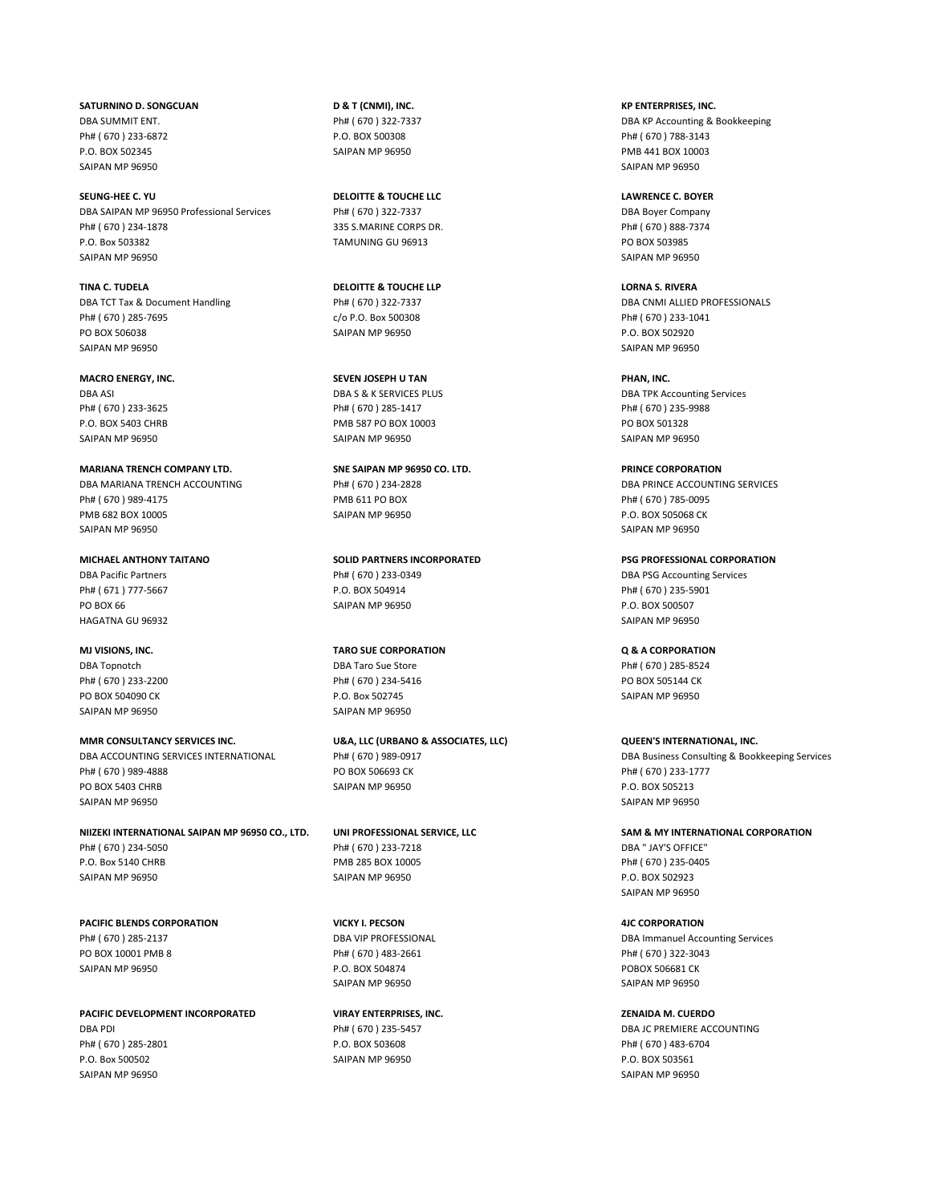**SATURNINO D. SONGCUAN D & T (CNMI), INC. KP ENTERPRISES, INC.** Ph# ( 670 ) 233-6872 P.O. BOX 500308 Ph# ( 670 ) 788-3143 P.O. BOX 502345 SAIPAN MP 96950 PMB 441 BOX 10003 SAIPAN MP 96950 SAIPAN MP 96950

**SEUNG-HEE C. YU DELOITTE & TOUCHE LLC LAWRENCE C. BOYER** DBA SAIPAN MP 96950 Professional Services Ph# ( 670 ) 322-7337 DBA Boyer Company Ph# ( 670 ) 234-1878 335 S.MARINE CORPS DR. Ph# ( 670 ) 888-7374 P.O. Box 503382 TAMUNING GU 96913 PO BOX 503985 SAIPAN MP 96950 SAIPAN MP 96950

**TINA C. TUDELA DELOITTE & TOUCHE LLP LORNA S. RIVERA** Ph# ( 670 ) 285-7695 c/o P.O. Box 500308 Ph# ( 670 ) 233-1041 PO BOX 506038 SAIPAN MP 96950 P.O. BOX 502920 SAIPAN MP 96950 SAIPAN MP 96950

SAIPAN MP 96950 SAIPAN MP 96950 SAIPAN MP 96950 **MARIANA TRENCH COMPANY LTD. SNE SAIPAN MP 96950 CO. LTD. PRINCE CORPORATION** Ph# ( 670 ) 989-4175 PMB 611 PO BOX Ph# ( 670 ) 785-0095 PMB 682 BOX 10005 SAIPAN MP 96950 P.O. BOX 505068 CK

PO BOX 66 SAIPAN MP 96950 P.O. BOX 500507 P.O. BOX 500507 HAGATNA GU 96932 SAIPAN MP 96950

SAIPAN MP 96950 SAIPAN MP 96950

**MMR CONSULTANCY SERVICES INC. U&A, LLC (URBANO & ASSOCIATES, LLC) QUEEN'S INTERNATIONAL, INC.** DBA ACCOUNTING SERVICES INTERNATIONAL Ph# ( 670 ) 989-0917 DBA Business Consulting & Bookkeeping Services Ph# ( 670 ) 989-4888 PO BOX 506693 CK PO BOX 506693 CK Ph# ( 670 ) 233-1777 PO BOX 5403 CHRB SAIPAN MP 96950 SAIPAN MP 96950 SAIPAN MP 96950 SAIPAN MP 96950

**NIIZEKI INTERNATIONAL SAIPAN MP 96950 CO., LTD. UNI PROFESSIONAL SERVICE, LLC SAM & MY INTERNATIONAL CORPORATION** Ph# ( 670 ) 234-5050 Ph# ( 670 ) 233-7218 DBA " JAY'S OFFICE" P.O. Box 5140 CHRB PMB 285 BOX 10005 Ph# ( 670 ) 235-0405 SAIPAN MP 96950 P.O. BOX 502923

**PACIFIC BLENDS CORPORATION VICKY I. PECSON 4JC CORPORATION** PO BOX 10001 PMB 8 Ph# ( 670 ) 483-2661 Ph# ( 670 ) 322-3043 SAIPAN MP 96950 P.O. BOX 504874 POBOX 506681 CK

**PACIFIC DEVELOPMENT INCORPORATED VIRAY ENTERPRISES, INC. ZENAIDA M. CUERDO** DBA PDI Ph# ( 670 ) 235-5457 DBA JC PREMIERE ACCOUNTING Ph# ( 670 ) 285-2801 P.O. BOX 503608 Ph# ( 670 ) 483-6704 P.O. Box 500502 SAIPAN MP 96950 P.O. BOX 503561 SAIPAN MP 96950 SAIPAN MP 96950

**MACRO ENERGY, INC. SEVEN JOSEPH U TAN PHAN, INC.** Ph# ( 670 ) 233-3625 Ph# ( 670 ) 285-1417 Ph# ( 670 ) 235-9988 P.O. BOX 5403 CHRB PMB 587 PO BOX 10003 PO BOX 501328

**MICHAEL ANTHONY TAITANO SOLID PARTNERS INCORPORATED PSG PROFESSIONAL CORPORATION** DBA Pacific Partners **Ph# ( 670 ) 233-0349** DBA PSG Accounting Services Ph# ( 671 ) 777-5667 P.O. BOX 504914 Ph# ( 670 ) 235-5901

**MJ VISIONS, INC. TARO SUE CORPORATION Q & A CORPORATION** DBA Topnotch **DBA Taro Sue Store** Ph# ( 670 ) 285-8524 Ph# (670 ) 233-2200 Ph# (670 ) 234-5416 PO BOX 505144 CK PO BOX 504090 CK GALLER SAIPAN MP 96950 CK RESERVE TO A SAIPAN MP 96950 CHECK POLICINE P.O. Box 502745

SAIPAN MP 96950 SAIPAN MP 96950

DBA SUMMIT ENT. The COLLECTION CONTROL CONTROL CONTROL PH# ( 670 ) 322-7337 DBA COLLECTION DBA KP Accounting & Bookkeeping

DBA TCT Tax & Document Handling Ph# ( 670 ) 322-7337 DBA CNMI ALLIED PROFESSIONALS

DBA ASI DBA S & K SERVICES PLUS DEALLY AND DBA TPK Accounting Services

DBA MARIANA TRENCH ACCOUNTING **Ph# (670) 234-2828** DBA PRINCE ACCOUNTING SERVICES SAIPAN MP 96950 SAIPAN MP 96950

SAIPAN MP 96950

Ph# ( 670 ) 285-2137 DBA VIP PROFESSIONAL DBA Immanuel Accounting Services